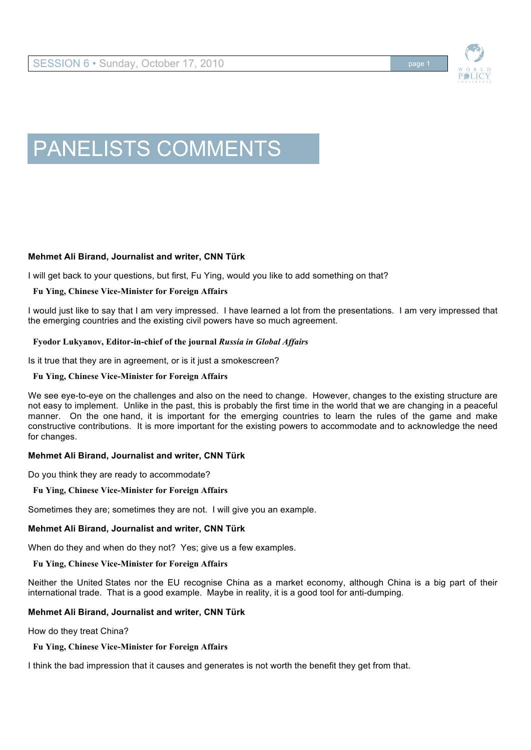

# PANELISTS COMMENTS

# **Mehmet Ali Birand, Journalist and writer, CNN Türk**

I will get back to your questions, but first, Fu Ying, would you like to add something on that?

## **Fu Ying, Chinese Vice-Minister for Foreign Affairs**

I would just like to say that I am very impressed. I have learned a lot from the presentations. I am very impressed that the emerging countries and the existing civil powers have so much agreement.

## **Fyodor Lukyanov, Editor-in-chief of the journal** *Russia in Global Affairs*

Is it true that they are in agreement, or is it just a smokescreen?

## **Fu Ying, Chinese Vice-Minister for Foreign Affairs**

We see eye-to-eye on the challenges and also on the need to change. However, changes to the existing structure are not easy to implement. Unlike in the past, this is probably the first time in the world that we are changing in a peaceful manner. On the one hand, it is important for the emerging countries to learn the rules of the game and make constructive contributions. It is more important for the existing powers to accommodate and to acknowledge the need for changes.

# **Mehmet Ali Birand, Journalist and writer, CNN Türk**

Do you think they are ready to accommodate?

#### **Fu Ying, Chinese Vice-Minister for Foreign Affairs**

Sometimes they are; sometimes they are not. I will give you an example.

# **Mehmet Ali Birand, Journalist and writer, CNN Türk**

When do they and when do they not? Yes; give us a few examples.

#### **Fu Ying, Chinese Vice-Minister for Foreign Affairs**

Neither the United States nor the EU recognise China as a market economy, although China is a big part of their international trade. That is a good example. Maybe in reality, it is a good tool for anti-dumping.

# **Mehmet Ali Birand, Journalist and writer, CNN Türk**

How do they treat China?

# **Fu Ying, Chinese Vice-Minister for Foreign Affairs**

I think the bad impression that it causes and generates is not worth the benefit they get from that.